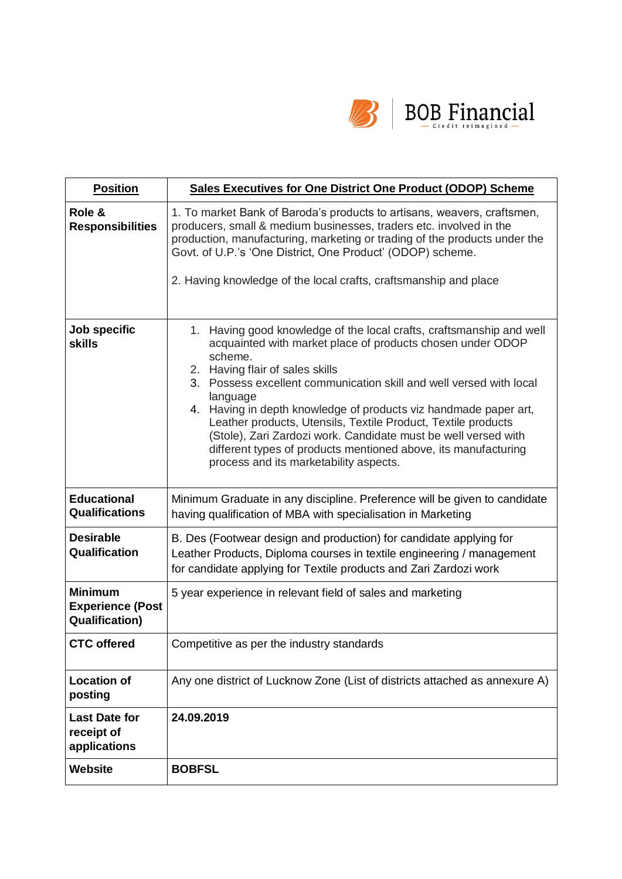

| <b>Position</b>                                                    | <b>Sales Executives for One District One Product (ODOP) Scheme</b>                                                                                                                                                                                                                                                                                                                                                                                                                                                                                                                     |  |  |
|--------------------------------------------------------------------|----------------------------------------------------------------------------------------------------------------------------------------------------------------------------------------------------------------------------------------------------------------------------------------------------------------------------------------------------------------------------------------------------------------------------------------------------------------------------------------------------------------------------------------------------------------------------------------|--|--|
| Role &<br><b>Responsibilities</b>                                  | 1. To market Bank of Baroda's products to artisans, weavers, craftsmen,<br>producers, small & medium businesses, traders etc. involved in the<br>production, manufacturing, marketing or trading of the products under the<br>Govt. of U.P.'s 'One District, One Product' (ODOP) scheme.                                                                                                                                                                                                                                                                                               |  |  |
|                                                                    | 2. Having knowledge of the local crafts, craftsmanship and place                                                                                                                                                                                                                                                                                                                                                                                                                                                                                                                       |  |  |
| Job specific<br><b>skills</b>                                      | 1. Having good knowledge of the local crafts, craftsmanship and well<br>acquainted with market place of products chosen under ODOP<br>scheme.<br>2. Having flair of sales skills<br>3. Possess excellent communication skill and well versed with local<br>language<br>4. Having in depth knowledge of products viz handmade paper art,<br>Leather products, Utensils, Textile Product, Textile products<br>(Stole), Zari Zardozi work. Candidate must be well versed with<br>different types of products mentioned above, its manufacturing<br>process and its marketability aspects. |  |  |
| <b>Educational</b><br><b>Qualifications</b>                        | Minimum Graduate in any discipline. Preference will be given to candidate<br>having qualification of MBA with specialisation in Marketing                                                                                                                                                                                                                                                                                                                                                                                                                                              |  |  |
| <b>Desirable</b><br>Qualification                                  | B. Des (Footwear design and production) for candidate applying for<br>Leather Products, Diploma courses in textile engineering / management<br>for candidate applying for Textile products and Zari Zardozi work                                                                                                                                                                                                                                                                                                                                                                       |  |  |
| <b>Minimum</b><br><b>Experience (Post</b><br><b>Qualification)</b> | 5 year experience in relevant field of sales and marketing                                                                                                                                                                                                                                                                                                                                                                                                                                                                                                                             |  |  |
| <b>CTC</b> offered                                                 | Competitive as per the industry standards                                                                                                                                                                                                                                                                                                                                                                                                                                                                                                                                              |  |  |
| <b>Location of</b><br>posting                                      | Any one district of Lucknow Zone (List of districts attached as annexure A)                                                                                                                                                                                                                                                                                                                                                                                                                                                                                                            |  |  |
| <b>Last Date for</b><br>receipt of<br>applications                 | 24.09.2019                                                                                                                                                                                                                                                                                                                                                                                                                                                                                                                                                                             |  |  |
| Website                                                            | <b>BOBFSL</b>                                                                                                                                                                                                                                                                                                                                                                                                                                                                                                                                                                          |  |  |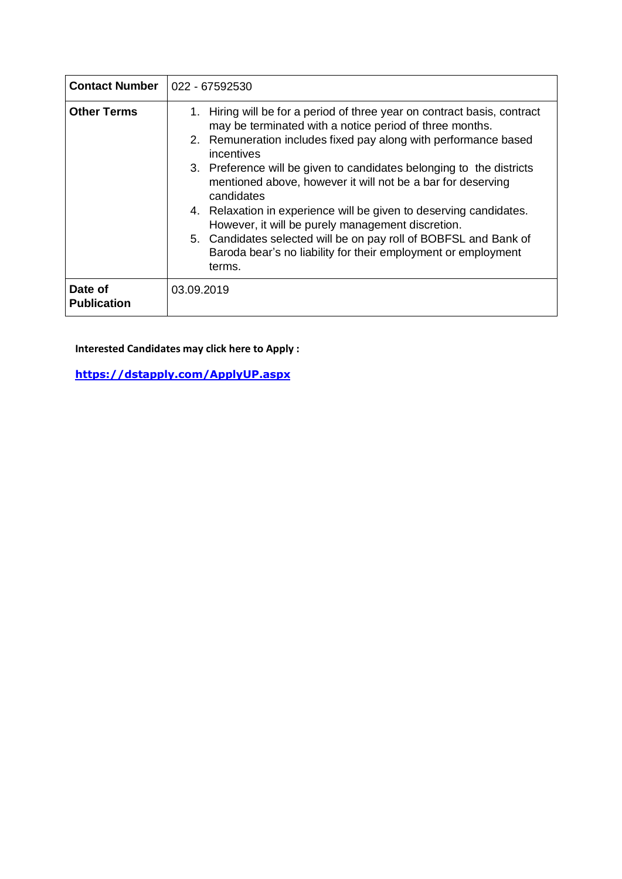| <b>Contact Number</b>         | 022 - 67592530                                                                                                                                                                                                                                                                                                                                                                                                                                                                                                                                                                                                                                      |  |  |  |
|-------------------------------|-----------------------------------------------------------------------------------------------------------------------------------------------------------------------------------------------------------------------------------------------------------------------------------------------------------------------------------------------------------------------------------------------------------------------------------------------------------------------------------------------------------------------------------------------------------------------------------------------------------------------------------------------------|--|--|--|
| <b>Other Terms</b>            | 1. Hiring will be for a period of three year on contract basis, contract<br>may be terminated with a notice period of three months.<br>2. Remuneration includes fixed pay along with performance based<br>incentives<br>3. Preference will be given to candidates belonging to the districts<br>mentioned above, however it will not be a bar for deserving<br>candidates<br>4. Relaxation in experience will be given to deserving candidates.<br>However, it will be purely management discretion.<br>5. Candidates selected will be on pay roll of BOBFSL and Bank of<br>Baroda bear's no liability for their employment or employment<br>terms. |  |  |  |
| Date of<br><b>Publication</b> | 03.09.2019                                                                                                                                                                                                                                                                                                                                                                                                                                                                                                                                                                                                                                          |  |  |  |

**Interested Candidates may click here to Apply :**

**[https://dstapply.com/ApplyUP.aspx](https://ind01.safelinks.protection.outlook.com/?url=https%3A%2F%2Fdstapply.com%2FApplyUP.aspx&data=02%7C01%7CRAJEEB.CHATTERJEE%40bankofbaroda.com%7Cc9f398e3b7a34ca0cffe08d72ad85430%7Cbe73ba9d1d9a4698b9ae6d5eab36e08e%7C0%7C0%7C637024980946063761&sdata=0S3cDYlg4W%2Fky5PKF6TXHa%2FpicpDsAGt5LxXQ4VvPTc%3D&reserved=0)**